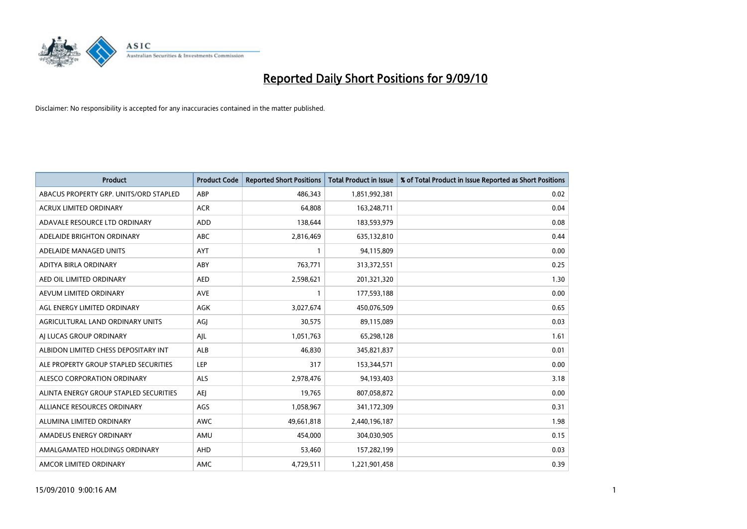

| <b>Product</b>                         | <b>Product Code</b> | <b>Reported Short Positions</b> | Total Product in Issue | % of Total Product in Issue Reported as Short Positions |
|----------------------------------------|---------------------|---------------------------------|------------------------|---------------------------------------------------------|
| ABACUS PROPERTY GRP. UNITS/ORD STAPLED | ABP                 | 486,343                         | 1,851,992,381          | 0.02                                                    |
| ACRUX LIMITED ORDINARY                 | <b>ACR</b>          | 64,808                          | 163,248,711            | 0.04                                                    |
| ADAVALE RESOURCE LTD ORDINARY          | <b>ADD</b>          | 138,644                         | 183,593,979            | 0.08                                                    |
| ADELAIDE BRIGHTON ORDINARY             | <b>ABC</b>          | 2,816,469                       | 635,132,810            | 0.44                                                    |
| ADELAIDE MANAGED UNITS                 | <b>AYT</b>          |                                 | 94,115,809             | 0.00                                                    |
| ADITYA BIRLA ORDINARY                  | ABY                 | 763,771                         | 313,372,551            | 0.25                                                    |
| AED OIL LIMITED ORDINARY               | <b>AED</b>          | 2,598,621                       | 201,321,320            | 1.30                                                    |
| AEVUM LIMITED ORDINARY                 | <b>AVE</b>          |                                 | 177,593,188            | 0.00                                                    |
| AGL ENERGY LIMITED ORDINARY            | AGK                 | 3,027,674                       | 450,076,509            | 0.65                                                    |
| AGRICULTURAL LAND ORDINARY UNITS       | AGJ                 | 30,575                          | 89,115,089             | 0.03                                                    |
| AJ LUCAS GROUP ORDINARY                | AJL                 | 1,051,763                       | 65,298,128             | 1.61                                                    |
| ALBIDON LIMITED CHESS DEPOSITARY INT   | <b>ALB</b>          | 46,830                          | 345,821,837            | 0.01                                                    |
| ALE PROPERTY GROUP STAPLED SECURITIES  | LEP                 | 317                             | 153,344,571            | 0.00                                                    |
| ALESCO CORPORATION ORDINARY            | ALS                 | 2,978,476                       | 94,193,403             | 3.18                                                    |
| ALINTA ENERGY GROUP STAPLED SECURITIES | <b>AEI</b>          | 19,765                          | 807,058,872            | 0.00                                                    |
| ALLIANCE RESOURCES ORDINARY            | AGS                 | 1,058,967                       | 341,172,309            | 0.31                                                    |
| ALUMINA LIMITED ORDINARY               | <b>AWC</b>          | 49,661,818                      | 2,440,196,187          | 1.98                                                    |
| AMADEUS ENERGY ORDINARY                | AMU                 | 454,000                         | 304,030,905            | 0.15                                                    |
| AMALGAMATED HOLDINGS ORDINARY          | AHD                 | 53,460                          | 157,282,199            | 0.03                                                    |
| AMCOR LIMITED ORDINARY                 | <b>AMC</b>          | 4,729,511                       | 1,221,901,458          | 0.39                                                    |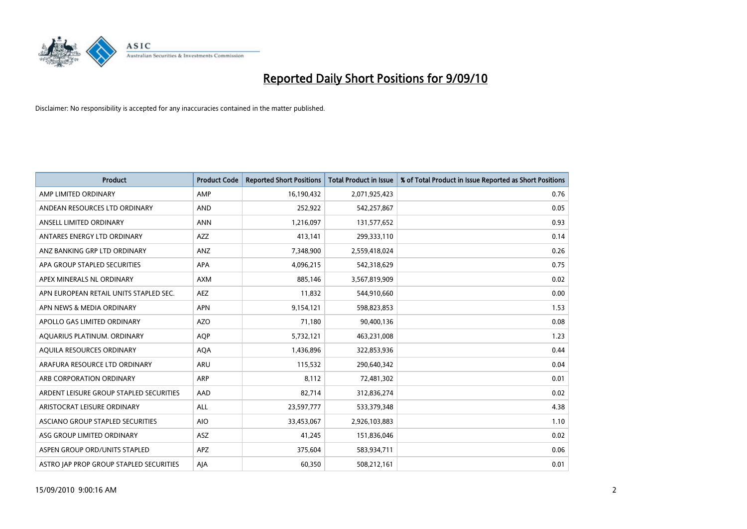

| <b>Product</b>                          | <b>Product Code</b> | <b>Reported Short Positions</b> | Total Product in Issue | % of Total Product in Issue Reported as Short Positions |
|-----------------------------------------|---------------------|---------------------------------|------------------------|---------------------------------------------------------|
| AMP LIMITED ORDINARY                    | AMP                 | 16,190,432                      | 2,071,925,423          | 0.76                                                    |
| ANDEAN RESOURCES LTD ORDINARY           | <b>AND</b>          | 252,922                         | 542,257,867            | 0.05                                                    |
| ANSELL LIMITED ORDINARY                 | <b>ANN</b>          | 1,216,097                       | 131,577,652            | 0.93                                                    |
| ANTARES ENERGY LTD ORDINARY             | <b>AZZ</b>          | 413,141                         | 299,333,110            | 0.14                                                    |
| ANZ BANKING GRP LTD ORDINARY            | ANZ                 | 7,348,900                       | 2,559,418,024          | 0.26                                                    |
| APA GROUP STAPLED SECURITIES            | <b>APA</b>          | 4,096,215                       | 542,318,629            | 0.75                                                    |
| APEX MINERALS NL ORDINARY               | <b>AXM</b>          | 885,146                         | 3,567,819,909          | 0.02                                                    |
| APN EUROPEAN RETAIL UNITS STAPLED SEC.  | <b>AEZ</b>          | 11,832                          | 544,910,660            | 0.00                                                    |
| APN NEWS & MEDIA ORDINARY               | <b>APN</b>          | 9,154,121                       | 598,823,853            | 1.53                                                    |
| APOLLO GAS LIMITED ORDINARY             | <b>AZO</b>          | 71,180                          | 90,400,136             | 0.08                                                    |
| AQUARIUS PLATINUM. ORDINARY             | <b>AOP</b>          | 5,732,121                       | 463,231,008            | 1.23                                                    |
| AQUILA RESOURCES ORDINARY               | <b>AQA</b>          | 1,436,896                       | 322,853,936            | 0.44                                                    |
| ARAFURA RESOURCE LTD ORDINARY           | <b>ARU</b>          | 115,532                         | 290,640,342            | 0.04                                                    |
| ARB CORPORATION ORDINARY                | ARP                 | 8,112                           | 72,481,302             | 0.01                                                    |
| ARDENT LEISURE GROUP STAPLED SECURITIES | AAD                 | 82,714                          | 312,836,274            | 0.02                                                    |
| ARISTOCRAT LEISURE ORDINARY             | ALL                 | 23,597,777                      | 533,379,348            | 4.38                                                    |
| ASCIANO GROUP STAPLED SECURITIES        | <b>AIO</b>          | 33,453,067                      | 2,926,103,883          | 1.10                                                    |
| ASG GROUP LIMITED ORDINARY              | <b>ASZ</b>          | 41,245                          | 151,836,046            | 0.02                                                    |
| ASPEN GROUP ORD/UNITS STAPLED           | APZ                 | 375,604                         | 583,934,711            | 0.06                                                    |
| ASTRO JAP PROP GROUP STAPLED SECURITIES | AJA                 | 60,350                          | 508,212,161            | 0.01                                                    |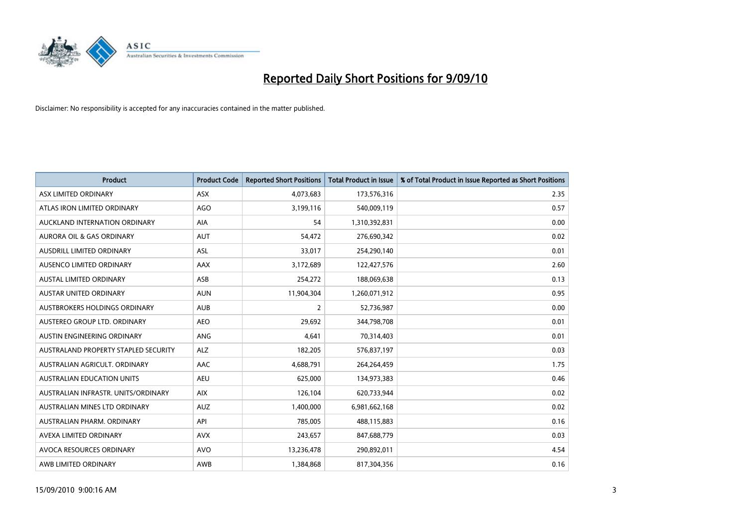

| <b>Product</b>                       | <b>Product Code</b> | <b>Reported Short Positions</b> | <b>Total Product in Issue</b> | % of Total Product in Issue Reported as Short Positions |
|--------------------------------------|---------------------|---------------------------------|-------------------------------|---------------------------------------------------------|
| ASX LIMITED ORDINARY                 | <b>ASX</b>          | 4,073,683                       | 173,576,316                   | 2.35                                                    |
| ATLAS IRON LIMITED ORDINARY          | <b>AGO</b>          | 3,199,116                       | 540,009,119                   | 0.57                                                    |
| AUCKLAND INTERNATION ORDINARY        | AIA                 | 54                              | 1,310,392,831                 | 0.00                                                    |
| AURORA OIL & GAS ORDINARY            | <b>AUT</b>          | 54,472                          | 276,690,342                   | 0.02                                                    |
| <b>AUSDRILL LIMITED ORDINARY</b>     | ASL                 | 33,017                          | 254,290,140                   | 0.01                                                    |
| AUSENCO LIMITED ORDINARY             | AAX                 | 3,172,689                       | 122,427,576                   | 2.60                                                    |
| <b>AUSTAL LIMITED ORDINARY</b>       | ASB                 | 254,272                         | 188,069,638                   | 0.13                                                    |
| AUSTAR UNITED ORDINARY               | <b>AUN</b>          | 11,904,304                      | 1,260,071,912                 | 0.95                                                    |
| AUSTBROKERS HOLDINGS ORDINARY        | <b>AUB</b>          | $\overline{2}$                  | 52,736,987                    | 0.00                                                    |
| AUSTEREO GROUP LTD. ORDINARY         | <b>AEO</b>          | 29,692                          | 344,798,708                   | 0.01                                                    |
| AUSTIN ENGINEERING ORDINARY          | ANG                 | 4,641                           | 70,314,403                    | 0.01                                                    |
| AUSTRALAND PROPERTY STAPLED SECURITY | <b>ALZ</b>          | 182,205                         | 576,837,197                   | 0.03                                                    |
| AUSTRALIAN AGRICULT. ORDINARY        | AAC                 | 4,688,791                       | 264,264,459                   | 1.75                                                    |
| AUSTRALIAN EDUCATION UNITS           | <b>AEU</b>          | 625,000                         | 134,973,383                   | 0.46                                                    |
| AUSTRALIAN INFRASTR, UNITS/ORDINARY  | <b>AIX</b>          | 126,104                         | 620,733,944                   | 0.02                                                    |
| AUSTRALIAN MINES LTD ORDINARY        | <b>AUZ</b>          | 1,400,000                       | 6,981,662,168                 | 0.02                                                    |
| AUSTRALIAN PHARM. ORDINARY           | API                 | 785,005                         | 488,115,883                   | 0.16                                                    |
| AVEXA LIMITED ORDINARY               | <b>AVX</b>          | 243,657                         | 847,688,779                   | 0.03                                                    |
| AVOCA RESOURCES ORDINARY             | <b>AVO</b>          | 13,236,478                      | 290,892,011                   | 4.54                                                    |
| AWB LIMITED ORDINARY                 | AWB                 | 1,384,868                       | 817,304,356                   | 0.16                                                    |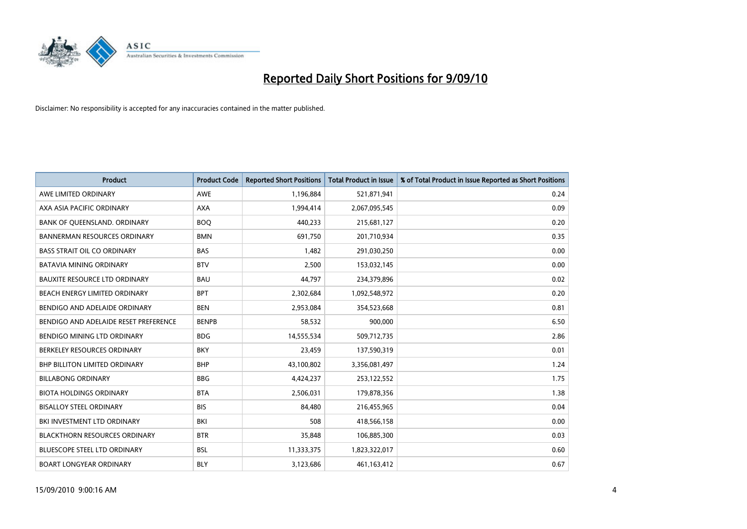

| <b>Product</b>                        | <b>Product Code</b> | <b>Reported Short Positions</b> | Total Product in Issue | % of Total Product in Issue Reported as Short Positions |
|---------------------------------------|---------------------|---------------------------------|------------------------|---------------------------------------------------------|
| AWE LIMITED ORDINARY                  | <b>AWE</b>          | 1,196,884                       | 521,871,941            | 0.24                                                    |
| AXA ASIA PACIFIC ORDINARY             | <b>AXA</b>          | 1,994,414                       | 2,067,095,545          | 0.09                                                    |
| BANK OF QUEENSLAND. ORDINARY          | <b>BOO</b>          | 440,233                         | 215,681,127            | 0.20                                                    |
| <b>BANNERMAN RESOURCES ORDINARY</b>   | <b>BMN</b>          | 691,750                         | 201,710,934            | 0.35                                                    |
| <b>BASS STRAIT OIL CO ORDINARY</b>    | <b>BAS</b>          | 1.482                           | 291,030,250            | 0.00                                                    |
| <b>BATAVIA MINING ORDINARY</b>        | <b>BTV</b>          | 2,500                           | 153,032,145            | 0.00                                                    |
| <b>BAUXITE RESOURCE LTD ORDINARY</b>  | <b>BAU</b>          | 44.797                          | 234,379,896            | 0.02                                                    |
| BEACH ENERGY LIMITED ORDINARY         | <b>BPT</b>          | 2,302,684                       | 1,092,548,972          | 0.20                                                    |
| BENDIGO AND ADELAIDE ORDINARY         | <b>BEN</b>          | 2,953,084                       | 354,523,668            | 0.81                                                    |
| BENDIGO AND ADELAIDE RESET PREFERENCE | <b>BENPB</b>        | 58,532                          | 900,000                | 6.50                                                    |
| <b>BENDIGO MINING LTD ORDINARY</b>    | <b>BDG</b>          | 14,555,534                      | 509,712,735            | 2.86                                                    |
| BERKELEY RESOURCES ORDINARY           | <b>BKY</b>          | 23,459                          | 137,590,319            | 0.01                                                    |
| <b>BHP BILLITON LIMITED ORDINARY</b>  | <b>BHP</b>          | 43,100,802                      | 3,356,081,497          | 1.24                                                    |
| <b>BILLABONG ORDINARY</b>             | <b>BBG</b>          | 4,424,237                       | 253,122,552            | 1.75                                                    |
| <b>BIOTA HOLDINGS ORDINARY</b>        | <b>BTA</b>          | 2,506,031                       | 179,878,356            | 1.38                                                    |
| <b>BISALLOY STEEL ORDINARY</b>        | <b>BIS</b>          | 84.480                          | 216,455,965            | 0.04                                                    |
| BKI INVESTMENT LTD ORDINARY           | BKI                 | 508                             | 418,566,158            | 0.00                                                    |
| <b>BLACKTHORN RESOURCES ORDINARY</b>  | <b>BTR</b>          | 35,848                          | 106,885,300            | 0.03                                                    |
| <b>BLUESCOPE STEEL LTD ORDINARY</b>   | <b>BSL</b>          | 11,333,375                      | 1,823,322,017          | 0.60                                                    |
| <b>BOART LONGYEAR ORDINARY</b>        | <b>BLY</b>          | 3,123,686                       | 461,163,412            | 0.67                                                    |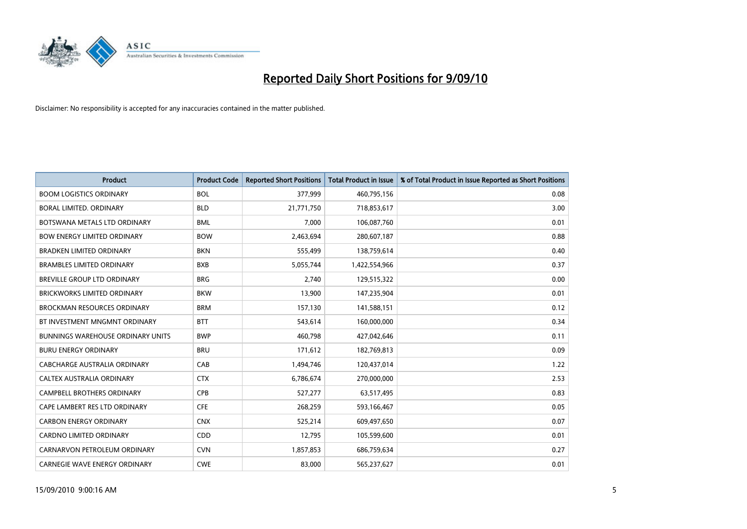

| <b>Product</b>                           | <b>Product Code</b> | <b>Reported Short Positions</b> | <b>Total Product in Issue</b> | % of Total Product in Issue Reported as Short Positions |
|------------------------------------------|---------------------|---------------------------------|-------------------------------|---------------------------------------------------------|
| <b>BOOM LOGISTICS ORDINARY</b>           | <b>BOL</b>          | 377,999                         | 460,795,156                   | 0.08                                                    |
| BORAL LIMITED. ORDINARY                  | <b>BLD</b>          | 21,771,750                      | 718,853,617                   | 3.00                                                    |
| BOTSWANA METALS LTD ORDINARY             | <b>BML</b>          | 7,000                           | 106,087,760                   | 0.01                                                    |
| <b>BOW ENERGY LIMITED ORDINARY</b>       | <b>BOW</b>          | 2,463,694                       | 280,607,187                   | 0.88                                                    |
| <b>BRADKEN LIMITED ORDINARY</b>          | <b>BKN</b>          | 555,499                         | 138,759,614                   | 0.40                                                    |
| <b>BRAMBLES LIMITED ORDINARY</b>         | <b>BXB</b>          | 5,055,744                       | 1,422,554,966                 | 0.37                                                    |
| <b>BREVILLE GROUP LTD ORDINARY</b>       | <b>BRG</b>          | 2.740                           | 129,515,322                   | 0.00                                                    |
| <b>BRICKWORKS LIMITED ORDINARY</b>       | <b>BKW</b>          | 13,900                          | 147,235,904                   | 0.01                                                    |
| <b>BROCKMAN RESOURCES ORDINARY</b>       | <b>BRM</b>          | 157,130                         | 141,588,151                   | 0.12                                                    |
| BT INVESTMENT MNGMNT ORDINARY            | <b>BTT</b>          | 543,614                         | 160,000,000                   | 0.34                                                    |
| <b>BUNNINGS WAREHOUSE ORDINARY UNITS</b> | <b>BWP</b>          | 460,798                         | 427,042,646                   | 0.11                                                    |
| <b>BURU ENERGY ORDINARY</b>              | <b>BRU</b>          | 171,612                         | 182,769,813                   | 0.09                                                    |
| CABCHARGE AUSTRALIA ORDINARY             | CAB                 | 1,494,746                       | 120,437,014                   | 1.22                                                    |
| CALTEX AUSTRALIA ORDINARY                | <b>CTX</b>          | 6,786,674                       | 270,000,000                   | 2.53                                                    |
| <b>CAMPBELL BROTHERS ORDINARY</b>        | <b>CPB</b>          | 527,277                         | 63,517,495                    | 0.83                                                    |
| CAPE LAMBERT RES LTD ORDINARY            | <b>CFE</b>          | 268,259                         | 593,166,467                   | 0.05                                                    |
| <b>CARBON ENERGY ORDINARY</b>            | <b>CNX</b>          | 525,214                         | 609,497,650                   | 0.07                                                    |
| <b>CARDNO LIMITED ORDINARY</b>           | <b>CDD</b>          | 12,795                          | 105,599,600                   | 0.01                                                    |
| CARNARVON PETROLEUM ORDINARY             | <b>CVN</b>          | 1,857,853                       | 686,759,634                   | 0.27                                                    |
| <b>CARNEGIE WAVE ENERGY ORDINARY</b>     | <b>CWE</b>          | 83.000                          | 565,237,627                   | 0.01                                                    |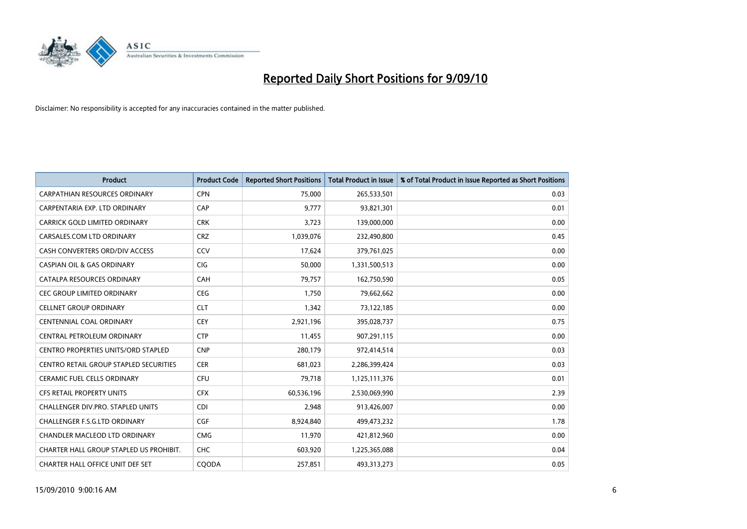

| <b>Product</b>                             | <b>Product Code</b> | <b>Reported Short Positions</b> | Total Product in Issue | % of Total Product in Issue Reported as Short Positions |
|--------------------------------------------|---------------------|---------------------------------|------------------------|---------------------------------------------------------|
| <b>CARPATHIAN RESOURCES ORDINARY</b>       | <b>CPN</b>          | 75.000                          | 265,533,501            | 0.03                                                    |
| CARPENTARIA EXP. LTD ORDINARY              | CAP                 | 9,777                           | 93,821,301             | 0.01                                                    |
| CARRICK GOLD LIMITED ORDINARY              | <b>CRK</b>          | 3,723                           | 139,000,000            | 0.00                                                    |
| CARSALES.COM LTD ORDINARY                  | <b>CRZ</b>          | 1,039,076                       | 232,490,800            | 0.45                                                    |
| CASH CONVERTERS ORD/DIV ACCESS             | CCV                 | 17,624                          | 379,761,025            | 0.00                                                    |
| <b>CASPIAN OIL &amp; GAS ORDINARY</b>      | CIG                 | 50,000                          | 1,331,500,513          | 0.00                                                    |
| CATALPA RESOURCES ORDINARY                 | CAH                 | 79,757                          | 162,750,590            | 0.05                                                    |
| <b>CEC GROUP LIMITED ORDINARY</b>          | <b>CEG</b>          | 1,750                           | 79,662,662             | 0.00                                                    |
| <b>CELLNET GROUP ORDINARY</b>              | <b>CLT</b>          | 1,342                           | 73,122,185             | 0.00                                                    |
| <b>CENTENNIAL COAL ORDINARY</b>            | <b>CEY</b>          | 2,921,196                       | 395,028,737            | 0.75                                                    |
| CENTRAL PETROLEUM ORDINARY                 | <b>CTP</b>          | 11,455                          | 907,291,115            | 0.00                                                    |
| <b>CENTRO PROPERTIES UNITS/ORD STAPLED</b> | <b>CNP</b>          | 280,179                         | 972,414,514            | 0.03                                                    |
| CENTRO RETAIL GROUP STAPLED SECURITIES     | <b>CER</b>          | 681,023                         | 2,286,399,424          | 0.03                                                    |
| <b>CERAMIC FUEL CELLS ORDINARY</b>         | CFU                 | 79,718                          | 1,125,111,376          | 0.01                                                    |
| <b>CFS RETAIL PROPERTY UNITS</b>           | <b>CFX</b>          | 60,536,196                      | 2,530,069,990          | 2.39                                                    |
| CHALLENGER DIV.PRO. STAPLED UNITS          | <b>CDI</b>          | 2,948                           | 913,426,007            | 0.00                                                    |
| CHALLENGER F.S.G.LTD ORDINARY              | CGF                 | 8,924,840                       | 499,473,232            | 1.78                                                    |
| CHANDLER MACLEOD LTD ORDINARY              | <b>CMG</b>          | 11,970                          | 421,812,960            | 0.00                                                    |
| CHARTER HALL GROUP STAPLED US PROHIBIT.    | <b>CHC</b>          | 603,920                         | 1,225,365,088          | 0.04                                                    |
| CHARTER HALL OFFICE UNIT DEF SET           | COODA               | 257.851                         | 493,313,273            | 0.05                                                    |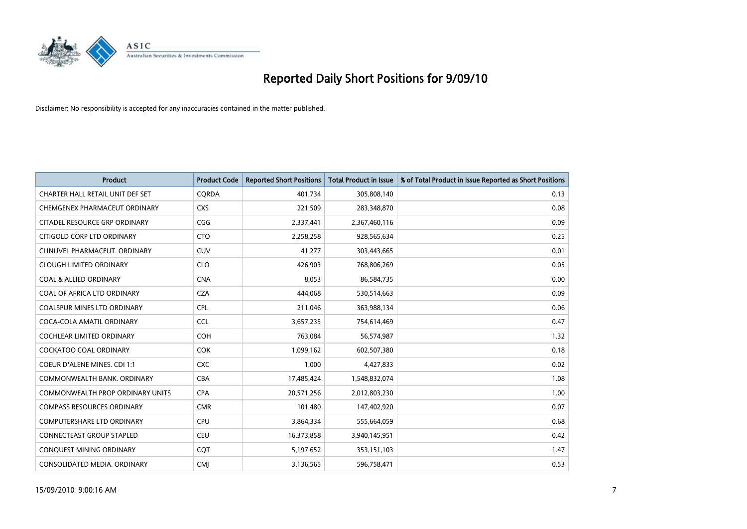

| <b>Product</b>                          | <b>Product Code</b> | <b>Reported Short Positions</b> | <b>Total Product in Issue</b> | % of Total Product in Issue Reported as Short Positions |
|-----------------------------------------|---------------------|---------------------------------|-------------------------------|---------------------------------------------------------|
| CHARTER HALL RETAIL UNIT DEF SET        | CQRDA               | 401,734                         | 305,808,140                   | 0.13                                                    |
| CHEMGENEX PHARMACEUT ORDINARY           | <b>CXS</b>          | 221,509                         | 283,348,870                   | 0.08                                                    |
| CITADEL RESOURCE GRP ORDINARY           | CGG                 | 2,337,441                       | 2,367,460,116                 | 0.09                                                    |
| CITIGOLD CORP LTD ORDINARY              | <b>CTO</b>          | 2,258,258                       | 928,565,634                   | 0.25                                                    |
| CLINUVEL PHARMACEUT, ORDINARY           | CUV                 | 41,277                          | 303,443,665                   | 0.01                                                    |
| <b>CLOUGH LIMITED ORDINARY</b>          | <b>CLO</b>          | 426,903                         | 768,806,269                   | 0.05                                                    |
| <b>COAL &amp; ALLIED ORDINARY</b>       | <b>CNA</b>          | 8.053                           | 86,584,735                    | 0.00                                                    |
| COAL OF AFRICA LTD ORDINARY             | <b>CZA</b>          | 444,068                         | 530,514,663                   | 0.09                                                    |
| COALSPUR MINES LTD ORDINARY             | <b>CPL</b>          | 211,046                         | 363,988,134                   | 0.06                                                    |
| COCA-COLA AMATIL ORDINARY               | <b>CCL</b>          | 3,657,235                       | 754,614,469                   | 0.47                                                    |
| <b>COCHLEAR LIMITED ORDINARY</b>        | COH                 | 763,084                         | 56,574,987                    | 1.32                                                    |
| <b>COCKATOO COAL ORDINARY</b>           | <b>COK</b>          | 1,099,162                       | 602,507,380                   | 0.18                                                    |
| <b>COEUR D'ALENE MINES. CDI 1:1</b>     | <b>CXC</b>          | 1,000                           | 4,427,833                     | 0.02                                                    |
| COMMONWEALTH BANK, ORDINARY             | CBA                 | 17,485,424                      | 1,548,832,074                 | 1.08                                                    |
| <b>COMMONWEALTH PROP ORDINARY UNITS</b> | <b>CPA</b>          | 20,571,256                      | 2,012,803,230                 | 1.00                                                    |
| <b>COMPASS RESOURCES ORDINARY</b>       | <b>CMR</b>          | 101,480                         | 147,402,920                   | 0.07                                                    |
| <b>COMPUTERSHARE LTD ORDINARY</b>       | <b>CPU</b>          | 3,864,334                       | 555,664,059                   | 0.68                                                    |
| CONNECTEAST GROUP STAPLED               | CEU                 | 16,373,858                      | 3,940,145,951                 | 0.42                                                    |
| CONQUEST MINING ORDINARY                | <b>COT</b>          | 5,197,652                       | 353,151,103                   | 1.47                                                    |
| CONSOLIDATED MEDIA, ORDINARY            | <b>CMI</b>          | 3,136,565                       | 596,758,471                   | 0.53                                                    |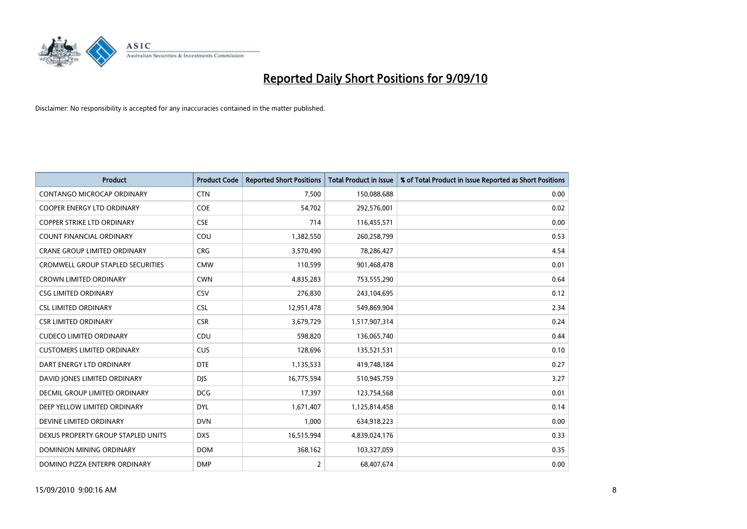

| <b>Product</b>                           | <b>Product Code</b> | <b>Reported Short Positions</b> | <b>Total Product in Issue</b> | % of Total Product in Issue Reported as Short Positions |
|------------------------------------------|---------------------|---------------------------------|-------------------------------|---------------------------------------------------------|
| <b>CONTANGO MICROCAP ORDINARY</b>        | <b>CTN</b>          | 7,500                           | 150,088,688                   | 0.00                                                    |
| <b>COOPER ENERGY LTD ORDINARY</b>        | <b>COE</b>          | 54,702                          | 292,576,001                   | 0.02                                                    |
| <b>COPPER STRIKE LTD ORDINARY</b>        | <b>CSE</b>          | 714                             | 116,455,571                   | 0.00                                                    |
| COUNT FINANCIAL ORDINARY                 | COU                 | 1,382,550                       | 260,258,799                   | 0.53                                                    |
| <b>CRANE GROUP LIMITED ORDINARY</b>      | <b>CRG</b>          | 3,570,490                       | 78,286,427                    | 4.54                                                    |
| <b>CROMWELL GROUP STAPLED SECURITIES</b> | <b>CMW</b>          | 110,599                         | 901,468,478                   | 0.01                                                    |
| <b>CROWN LIMITED ORDINARY</b>            | <b>CWN</b>          | 4,835,283                       | 753,555,290                   | 0.64                                                    |
| <b>CSG LIMITED ORDINARY</b>              | CSV                 | 276,830                         | 243,104,695                   | 0.12                                                    |
| <b>CSL LIMITED ORDINARY</b>              | <b>CSL</b>          | 12,951,478                      | 549,869,904                   | 2.34                                                    |
| <b>CSR LIMITED ORDINARY</b>              | <b>CSR</b>          | 3,679,729                       | 1,517,907,314                 | 0.24                                                    |
| <b>CUDECO LIMITED ORDINARY</b>           | CDU                 | 598,820                         | 136,065,740                   | 0.44                                                    |
| <b>CUSTOMERS LIMITED ORDINARY</b>        | <b>CUS</b>          | 128,696                         | 135,521,531                   | 0.10                                                    |
| DART ENERGY LTD ORDINARY                 | <b>DTE</b>          | 1,135,533                       | 419,748,184                   | 0.27                                                    |
| DAVID JONES LIMITED ORDINARY             | <b>DJS</b>          | 16,775,594                      | 510,945,759                   | 3.27                                                    |
| DECMIL GROUP LIMITED ORDINARY            | <b>DCG</b>          | 17,397                          | 123,754,568                   | 0.01                                                    |
| DEEP YELLOW LIMITED ORDINARY             | <b>DYL</b>          | 1,671,407                       | 1,125,814,458                 | 0.14                                                    |
| DEVINE LIMITED ORDINARY                  | <b>DVN</b>          | 1,000                           | 634,918,223                   | 0.00                                                    |
| DEXUS PROPERTY GROUP STAPLED UNITS       | <b>DXS</b>          | 16,515,994                      | 4,839,024,176                 | 0.33                                                    |
| DOMINION MINING ORDINARY                 | <b>DOM</b>          | 368,162                         | 103,327,059                   | 0.35                                                    |
| DOMINO PIZZA ENTERPR ORDINARY            | <b>DMP</b>          | $\overline{2}$                  | 68,407,674                    | 0.00                                                    |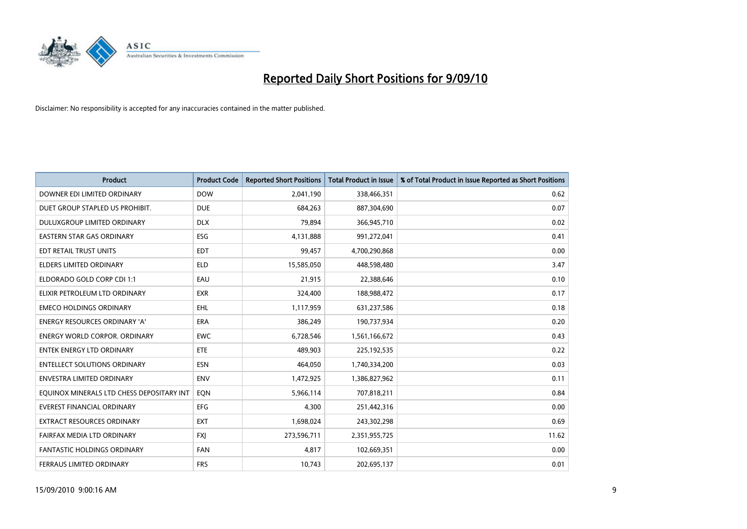

| <b>Product</b>                            | <b>Product Code</b> | <b>Reported Short Positions</b> | <b>Total Product in Issue</b> | % of Total Product in Issue Reported as Short Positions |
|-------------------------------------------|---------------------|---------------------------------|-------------------------------|---------------------------------------------------------|
| DOWNER EDI LIMITED ORDINARY               | <b>DOW</b>          | 2,041,190                       | 338,466,351                   | 0.62                                                    |
| DUET GROUP STAPLED US PROHIBIT.           | <b>DUE</b>          | 684,263                         | 887,304,690                   | 0.07                                                    |
| <b>DULUXGROUP LIMITED ORDINARY</b>        | <b>DLX</b>          | 79.894                          | 366,945,710                   | 0.02                                                    |
| EASTERN STAR GAS ORDINARY                 | <b>ESG</b>          | 4,131,888                       | 991,272,041                   | 0.41                                                    |
| EDT RETAIL TRUST UNITS                    | <b>EDT</b>          | 99,457                          | 4,700,290,868                 | 0.00                                                    |
| <b>ELDERS LIMITED ORDINARY</b>            | <b>ELD</b>          | 15,585,050                      | 448,598,480                   | 3.47                                                    |
| ELDORADO GOLD CORP CDI 1:1                | EAU                 | 21,915                          | 22,388,646                    | 0.10                                                    |
| ELIXIR PETROLEUM LTD ORDINARY             | <b>EXR</b>          | 324,400                         | 188,988,472                   | 0.17                                                    |
| <b>EMECO HOLDINGS ORDINARY</b>            | <b>EHL</b>          | 1,117,959                       | 631,237,586                   | 0.18                                                    |
| <b>ENERGY RESOURCES ORDINARY 'A'</b>      | <b>ERA</b>          | 386,249                         | 190,737,934                   | 0.20                                                    |
| <b>ENERGY WORLD CORPOR. ORDINARY</b>      | <b>EWC</b>          | 6,728,546                       | 1,561,166,672                 | 0.43                                                    |
| <b>ENTEK ENERGY LTD ORDINARY</b>          | <b>ETE</b>          | 489,903                         | 225,192,535                   | 0.22                                                    |
| <b>ENTELLECT SOLUTIONS ORDINARY</b>       | <b>ESN</b>          | 464,050                         | 1,740,334,200                 | 0.03                                                    |
| <b>ENVESTRA LIMITED ORDINARY</b>          | <b>ENV</b>          | 1,472,925                       | 1,386,827,962                 | 0.11                                                    |
| EQUINOX MINERALS LTD CHESS DEPOSITARY INT | EQN                 | 5,966,114                       | 707,818,211                   | 0.84                                                    |
| EVEREST FINANCIAL ORDINARY                | <b>EFG</b>          | 4,300                           | 251,442,316                   | 0.00                                                    |
| EXTRACT RESOURCES ORDINARY                | <b>EXT</b>          | 1,698,024                       | 243,302,298                   | 0.69                                                    |
| FAIRFAX MEDIA LTD ORDINARY                | <b>FXI</b>          | 273,596,711                     | 2,351,955,725                 | 11.62                                                   |
| <b>FANTASTIC HOLDINGS ORDINARY</b>        | <b>FAN</b>          | 4,817                           | 102,669,351                   | 0.00                                                    |
| FERRAUS LIMITED ORDINARY                  | <b>FRS</b>          | 10,743                          | 202,695,137                   | 0.01                                                    |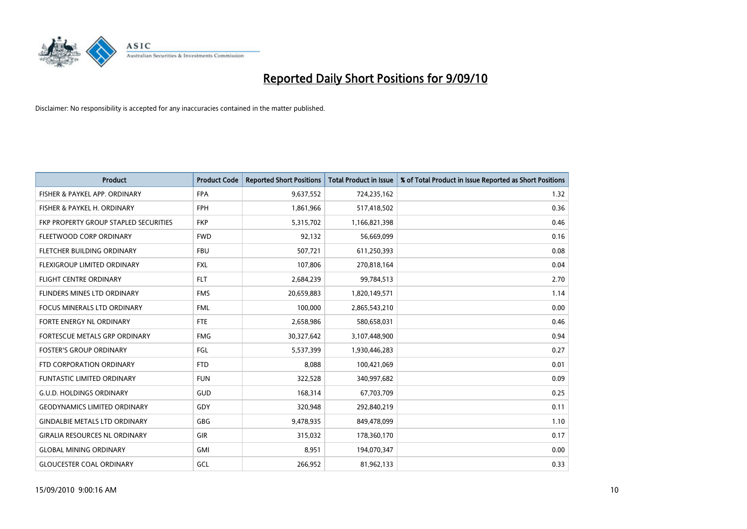

| <b>Product</b>                        | <b>Product Code</b> | <b>Reported Short Positions</b> | <b>Total Product in Issue</b> | % of Total Product in Issue Reported as Short Positions |
|---------------------------------------|---------------------|---------------------------------|-------------------------------|---------------------------------------------------------|
| FISHER & PAYKEL APP. ORDINARY         | <b>FPA</b>          | 9,637,552                       | 724,235,162                   | 1.32                                                    |
| FISHER & PAYKEL H. ORDINARY           | <b>FPH</b>          | 1,861,966                       | 517,418,502                   | 0.36                                                    |
| FKP PROPERTY GROUP STAPLED SECURITIES | <b>FKP</b>          | 5,315,702                       | 1,166,821,398                 | 0.46                                                    |
| FLEETWOOD CORP ORDINARY               | <b>FWD</b>          | 92,132                          | 56,669,099                    | 0.16                                                    |
| FLETCHER BUILDING ORDINARY            | <b>FBU</b>          | 507,721                         | 611,250,393                   | 0.08                                                    |
| FLEXIGROUP LIMITED ORDINARY           | <b>FXL</b>          | 107,806                         | 270,818,164                   | 0.04                                                    |
| <b>FLIGHT CENTRE ORDINARY</b>         | <b>FLT</b>          | 2,684,239                       | 99,784,513                    | 2.70                                                    |
| FLINDERS MINES LTD ORDINARY           | <b>FMS</b>          | 20,659,883                      | 1,820,149,571                 | 1.14                                                    |
| FOCUS MINERALS LTD ORDINARY           | <b>FML</b>          | 100,000                         | 2,865,543,210                 | 0.00                                                    |
| FORTE ENERGY NL ORDINARY              | <b>FTE</b>          | 2,658,986                       | 580,658,031                   | 0.46                                                    |
| FORTESCUE METALS GRP ORDINARY         | <b>FMG</b>          | 30,327,642                      | 3,107,448,900                 | 0.94                                                    |
| <b>FOSTER'S GROUP ORDINARY</b>        | FGL                 | 5,537,399                       | 1,930,446,283                 | 0.27                                                    |
| FTD CORPORATION ORDINARY              | <b>FTD</b>          | 8,088                           | 100,421,069                   | 0.01                                                    |
| <b>FUNTASTIC LIMITED ORDINARY</b>     | <b>FUN</b>          | 322,528                         | 340,997,682                   | 0.09                                                    |
| <b>G.U.D. HOLDINGS ORDINARY</b>       | GUD                 | 168,314                         | 67,703,709                    | 0.25                                                    |
| <b>GEODYNAMICS LIMITED ORDINARY</b>   | GDY                 | 320,948                         | 292,840,219                   | 0.11                                                    |
| <b>GINDALBIE METALS LTD ORDINARY</b>  | <b>GBG</b>          | 9,478,935                       | 849,478,099                   | 1.10                                                    |
| <b>GIRALIA RESOURCES NL ORDINARY</b>  | <b>GIR</b>          | 315,032                         | 178,360,170                   | 0.17                                                    |
| <b>GLOBAL MINING ORDINARY</b>         | <b>GMI</b>          | 8,951                           | 194,070,347                   | 0.00                                                    |
| <b>GLOUCESTER COAL ORDINARY</b>       | GCL                 | 266,952                         | 81,962,133                    | 0.33                                                    |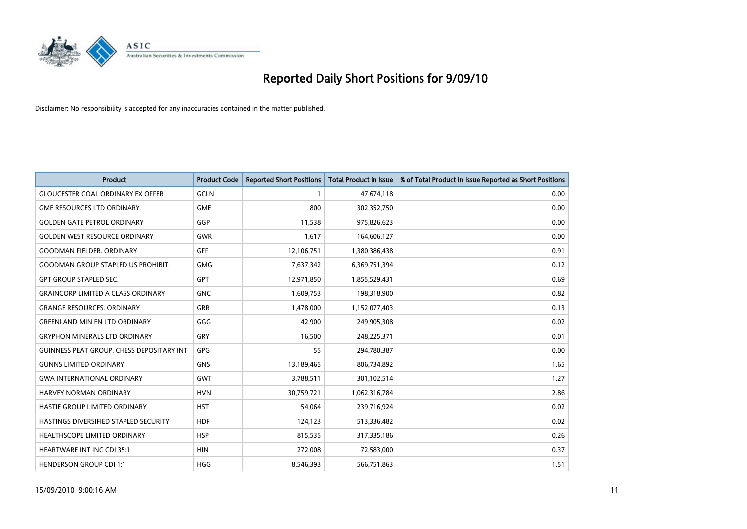

| <b>Product</b>                                   | <b>Product Code</b> | <b>Reported Short Positions</b> | Total Product in Issue | % of Total Product in Issue Reported as Short Positions |
|--------------------------------------------------|---------------------|---------------------------------|------------------------|---------------------------------------------------------|
| <b>GLOUCESTER COAL ORDINARY EX OFFER</b>         | <b>GCLN</b>         |                                 | 47,674,118             | 0.00                                                    |
| <b>GME RESOURCES LTD ORDINARY</b>                | <b>GME</b>          | 800                             | 302,352,750            | 0.00                                                    |
| <b>GOLDEN GATE PETROL ORDINARY</b>               | GGP                 | 11,538                          | 975,826,623            | 0.00                                                    |
| <b>GOLDEN WEST RESOURCE ORDINARY</b>             | <b>GWR</b>          | 1,617                           | 164,606,127            | 0.00                                                    |
| <b>GOODMAN FIELDER, ORDINARY</b>                 | <b>GFF</b>          | 12,106,751                      | 1,380,386,438          | 0.91                                                    |
| <b>GOODMAN GROUP STAPLED US PROHIBIT.</b>        | <b>GMG</b>          | 7,637,342                       | 6,369,751,394          | 0.12                                                    |
| <b>GPT GROUP STAPLED SEC.</b>                    | <b>GPT</b>          | 12,971,850                      | 1,855,529,431          | 0.69                                                    |
| <b>GRAINCORP LIMITED A CLASS ORDINARY</b>        | <b>GNC</b>          | 1,609,753                       | 198,318,900            | 0.82                                                    |
| <b>GRANGE RESOURCES. ORDINARY</b>                | <b>GRR</b>          | 1,478,000                       | 1,152,077,403          | 0.13                                                    |
| <b>GREENLAND MIN EN LTD ORDINARY</b>             | GGG                 | 42,900                          | 249,905,308            | 0.02                                                    |
| <b>GRYPHON MINERALS LTD ORDINARY</b>             | GRY                 | 16,500                          | 248,225,371            | 0.01                                                    |
| <b>GUINNESS PEAT GROUP. CHESS DEPOSITARY INT</b> | <b>GPG</b>          | 55                              | 294,780,387            | 0.00                                                    |
| <b>GUNNS LIMITED ORDINARY</b>                    | <b>GNS</b>          | 13,189,465                      | 806,734,892            | 1.65                                                    |
| <b>GWA INTERNATIONAL ORDINARY</b>                | <b>GWT</b>          | 3,788,511                       | 301,102,514            | 1.27                                                    |
| <b>HARVEY NORMAN ORDINARY</b>                    | <b>HVN</b>          | 30,759,721                      | 1,062,316,784          | 2.86                                                    |
| HASTIE GROUP LIMITED ORDINARY                    | <b>HST</b>          | 54,064                          | 239,716,924            | 0.02                                                    |
| HASTINGS DIVERSIFIED STAPLED SECURITY            | <b>HDF</b>          | 124,123                         | 513,336,482            | 0.02                                                    |
| <b>HEALTHSCOPE LIMITED ORDINARY</b>              | <b>HSP</b>          | 815,535                         | 317,335,186            | 0.26                                                    |
| <b>HEARTWARE INT INC CDI 35:1</b>                | <b>HIN</b>          | 272,008                         | 72,583,000             | 0.37                                                    |
| <b>HENDERSON GROUP CDI 1:1</b>                   | <b>HGG</b>          | 8,546,393                       | 566,751,863            | 1.51                                                    |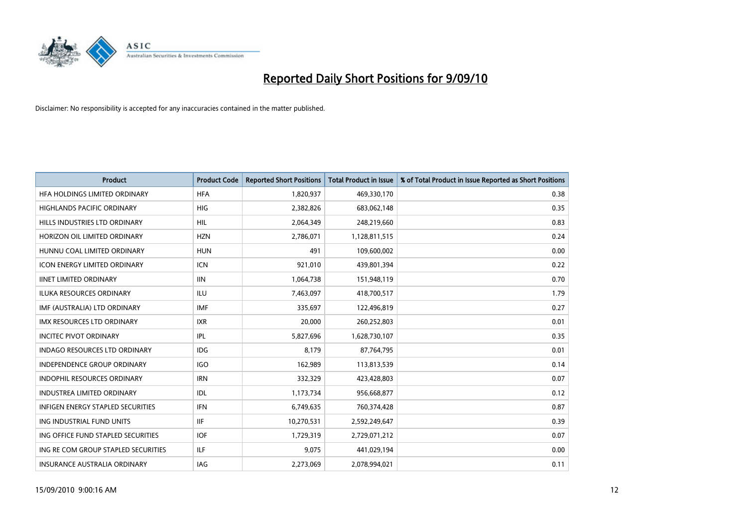

| <b>Product</b>                           | <b>Product Code</b> | <b>Reported Short Positions</b> | <b>Total Product in Issue</b> | % of Total Product in Issue Reported as Short Positions |
|------------------------------------------|---------------------|---------------------------------|-------------------------------|---------------------------------------------------------|
| HFA HOLDINGS LIMITED ORDINARY            | <b>HFA</b>          | 1,820,937                       | 469,330,170                   | 0.38                                                    |
| <b>HIGHLANDS PACIFIC ORDINARY</b>        | <b>HIG</b>          | 2,382,826                       | 683,062,148                   | 0.35                                                    |
| HILLS INDUSTRIES LTD ORDINARY            | <b>HIL</b>          | 2,064,349                       | 248,219,660                   | 0.83                                                    |
| HORIZON OIL LIMITED ORDINARY             | <b>HZN</b>          | 2,786,071                       | 1,128,811,515                 | 0.24                                                    |
| HUNNU COAL LIMITED ORDINARY              | <b>HUN</b>          | 491                             | 109,600,002                   | 0.00                                                    |
| <b>ICON ENERGY LIMITED ORDINARY</b>      | <b>ICN</b>          | 921,010                         | 439,801,394                   | 0.22                                                    |
| <b>IINET LIMITED ORDINARY</b>            | <b>IIN</b>          | 1,064,738                       | 151,948,119                   | 0.70                                                    |
| <b>ILUKA RESOURCES ORDINARY</b>          | <b>ILU</b>          | 7,463,097                       | 418,700,517                   | 1.79                                                    |
| IMF (AUSTRALIA) LTD ORDINARY             | <b>IMF</b>          | 335,697                         | 122,496,819                   | 0.27                                                    |
| <b>IMX RESOURCES LTD ORDINARY</b>        | <b>IXR</b>          | 20,000                          | 260,252,803                   | 0.01                                                    |
| <b>INCITEC PIVOT ORDINARY</b>            | IPL                 | 5,827,696                       | 1,628,730,107                 | 0.35                                                    |
| <b>INDAGO RESOURCES LTD ORDINARY</b>     | <b>IDG</b>          | 8,179                           | 87,764,795                    | 0.01                                                    |
| <b>INDEPENDENCE GROUP ORDINARY</b>       | <b>IGO</b>          | 162,989                         | 113,813,539                   | 0.14                                                    |
| <b>INDOPHIL RESOURCES ORDINARY</b>       | <b>IRN</b>          | 332,329                         | 423,428,803                   | 0.07                                                    |
| <b>INDUSTREA LIMITED ORDINARY</b>        | IDL                 | 1,173,734                       | 956,668,877                   | 0.12                                                    |
| <b>INFIGEN ENERGY STAPLED SECURITIES</b> | <b>IFN</b>          | 6,749,635                       | 760,374,428                   | 0.87                                                    |
| ING INDUSTRIAL FUND UNITS                | <b>IIF</b>          | 10,270,531                      | 2,592,249,647                 | 0.39                                                    |
| ING OFFICE FUND STAPLED SECURITIES       | <b>IOF</b>          | 1,729,319                       | 2,729,071,212                 | 0.07                                                    |
| ING RE COM GROUP STAPLED SECURITIES      | <b>ILF</b>          | 9,075                           | 441,029,194                   | 0.00                                                    |
| <b>INSURANCE AUSTRALIA ORDINARY</b>      | <b>IAG</b>          | 2,273,069                       | 2.078.994.021                 | 0.11                                                    |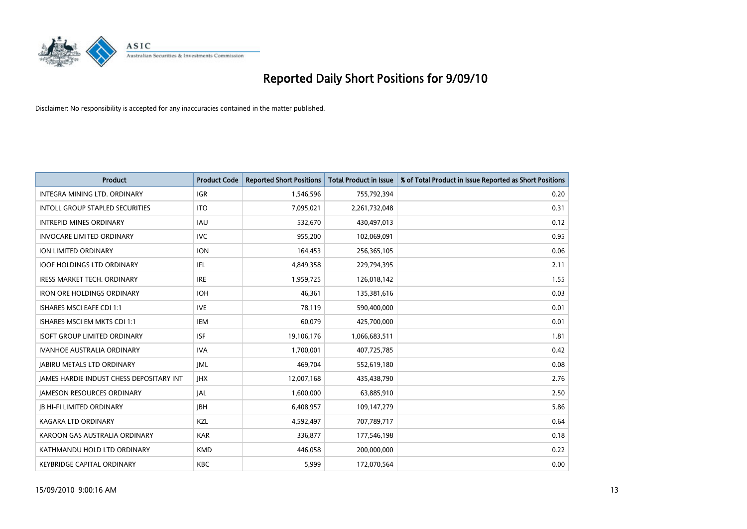

| <b>Product</b>                                  | <b>Product Code</b> | <b>Reported Short Positions</b> | <b>Total Product in Issue</b> | % of Total Product in Issue Reported as Short Positions |
|-------------------------------------------------|---------------------|---------------------------------|-------------------------------|---------------------------------------------------------|
| <b>INTEGRA MINING LTD, ORDINARY</b>             | <b>IGR</b>          | 1,546,596                       | 755,792,394                   | 0.20                                                    |
| INTOLL GROUP STAPLED SECURITIES                 | <b>ITO</b>          | 7,095,021                       | 2,261,732,048                 | 0.31                                                    |
| <b>INTREPID MINES ORDINARY</b>                  | <b>IAU</b>          | 532,670                         | 430,497,013                   | 0.12                                                    |
| <b>INVOCARE LIMITED ORDINARY</b>                | <b>IVC</b>          | 955,200                         | 102,069,091                   | 0.95                                                    |
| <b>ION LIMITED ORDINARY</b>                     | <b>ION</b>          | 164,453                         | 256,365,105                   | 0.06                                                    |
| <b>IOOF HOLDINGS LTD ORDINARY</b>               | IFL.                | 4,849,358                       | 229,794,395                   | 2.11                                                    |
| <b>IRESS MARKET TECH. ORDINARY</b>              | <b>IRE</b>          | 1,959,725                       | 126,018,142                   | 1.55                                                    |
| <b>IRON ORE HOLDINGS ORDINARY</b>               | <b>IOH</b>          | 46.361                          | 135,381,616                   | 0.03                                                    |
| ISHARES MSCI EAFE CDI 1:1                       | <b>IVE</b>          | 78,119                          | 590,400,000                   | 0.01                                                    |
| ISHARES MSCI EM MKTS CDI 1:1                    | <b>IEM</b>          | 60,079                          | 425,700,000                   | 0.01                                                    |
| <b>ISOFT GROUP LIMITED ORDINARY</b>             | <b>ISF</b>          | 19,106,176                      | 1,066,683,511                 | 1.81                                                    |
| <b>IVANHOE AUSTRALIA ORDINARY</b>               | <b>IVA</b>          | 1,700,001                       | 407,725,785                   | 0.42                                                    |
| <b>JABIRU METALS LTD ORDINARY</b>               | <b>JML</b>          | 469,704                         | 552,619,180                   | 0.08                                                    |
| <b>JAMES HARDIE INDUST CHESS DEPOSITARY INT</b> | <b>IHX</b>          | 12,007,168                      | 435,438,790                   | 2.76                                                    |
| <b>JAMESON RESOURCES ORDINARY</b>               | <b>JAL</b>          | 1,600,000                       | 63,885,910                    | 2.50                                                    |
| <b>JB HI-FI LIMITED ORDINARY</b>                | <b>IBH</b>          | 6,408,957                       | 109,147,279                   | 5.86                                                    |
| <b>KAGARA LTD ORDINARY</b>                      | KZL                 | 4,592,497                       | 707,789,717                   | 0.64                                                    |
| KAROON GAS AUSTRALIA ORDINARY                   | <b>KAR</b>          | 336,877                         | 177,546,198                   | 0.18                                                    |
| KATHMANDU HOLD LTD ORDINARY                     | <b>KMD</b>          | 446.058                         | 200,000,000                   | 0.22                                                    |
| <b>KEYBRIDGE CAPITAL ORDINARY</b>               | <b>KBC</b>          | 5.999                           | 172,070,564                   | 0.00                                                    |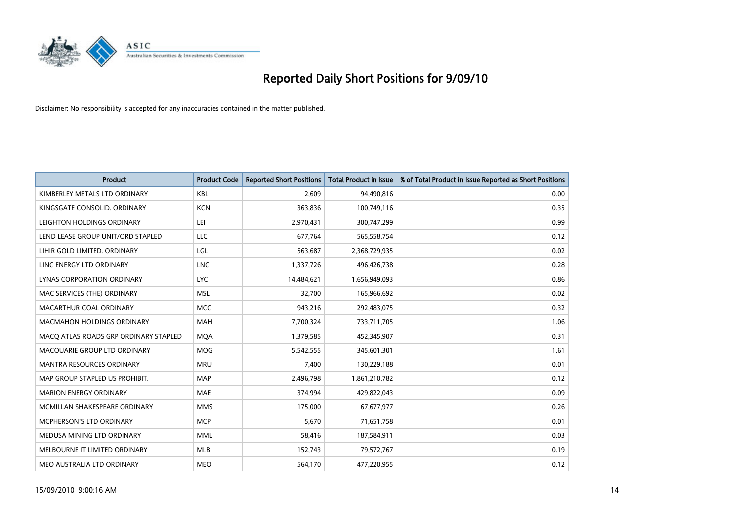

| <b>Product</b>                        | <b>Product Code</b> | <b>Reported Short Positions</b> | <b>Total Product in Issue</b> | % of Total Product in Issue Reported as Short Positions |
|---------------------------------------|---------------------|---------------------------------|-------------------------------|---------------------------------------------------------|
| KIMBERLEY METALS LTD ORDINARY         | <b>KBL</b>          | 2.609                           | 94,490,816                    | 0.00                                                    |
| KINGSGATE CONSOLID. ORDINARY          | <b>KCN</b>          | 363,836                         | 100,749,116                   | 0.35                                                    |
| LEIGHTON HOLDINGS ORDINARY            | LEI                 | 2,970,431                       | 300,747,299                   | 0.99                                                    |
| LEND LEASE GROUP UNIT/ORD STAPLED     | LLC                 | 677,764                         | 565,558,754                   | 0.12                                                    |
| LIHIR GOLD LIMITED. ORDINARY          | LGL                 | 563,687                         | 2,368,729,935                 | 0.02                                                    |
| LINC ENERGY LTD ORDINARY              | <b>LNC</b>          | 1,337,726                       | 496,426,738                   | 0.28                                                    |
| LYNAS CORPORATION ORDINARY            | <b>LYC</b>          | 14,484,621                      | 1,656,949,093                 | 0.86                                                    |
| MAC SERVICES (THE) ORDINARY           | <b>MSL</b>          | 32.700                          | 165,966,692                   | 0.02                                                    |
| MACARTHUR COAL ORDINARY               | <b>MCC</b>          | 943,216                         | 292,483,075                   | 0.32                                                    |
| <b>MACMAHON HOLDINGS ORDINARY</b>     | <b>MAH</b>          | 7,700,324                       | 733,711,705                   | 1.06                                                    |
| MACQ ATLAS ROADS GRP ORDINARY STAPLED | <b>MOA</b>          | 1,379,585                       | 452,345,907                   | 0.31                                                    |
| MACQUARIE GROUP LTD ORDINARY          | <b>MOG</b>          | 5,542,555                       | 345,601,301                   | 1.61                                                    |
| <b>MANTRA RESOURCES ORDINARY</b>      | <b>MRU</b>          | 7,400                           | 130,229,188                   | 0.01                                                    |
| MAP GROUP STAPLED US PROHIBIT.        | <b>MAP</b>          | 2,496,798                       | 1,861,210,782                 | 0.12                                                    |
| <b>MARION ENERGY ORDINARY</b>         | <b>MAE</b>          | 374.994                         | 429,822,043                   | 0.09                                                    |
| MCMILLAN SHAKESPEARE ORDINARY         | <b>MMS</b>          | 175,000                         | 67,677,977                    | 0.26                                                    |
| MCPHERSON'S LTD ORDINARY              | <b>MCP</b>          | 5,670                           | 71,651,758                    | 0.01                                                    |
| MEDUSA MINING LTD ORDINARY            | <b>MML</b>          | 58,416                          | 187,584,911                   | 0.03                                                    |
| MELBOURNE IT LIMITED ORDINARY         | <b>MLB</b>          | 152,743                         | 79,572,767                    | 0.19                                                    |
| MEO AUSTRALIA LTD ORDINARY            | <b>MEO</b>          | 564,170                         | 477,220,955                   | 0.12                                                    |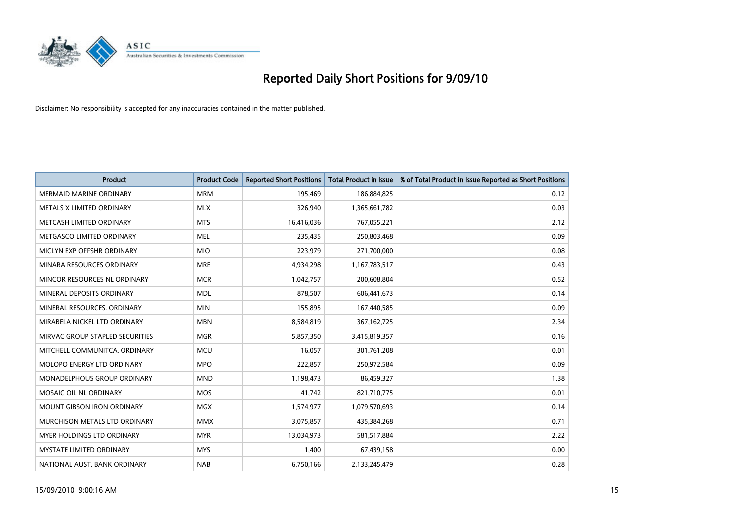

| <b>Product</b>                     | <b>Product Code</b> | <b>Reported Short Positions</b> | <b>Total Product in Issue</b> | % of Total Product in Issue Reported as Short Positions |
|------------------------------------|---------------------|---------------------------------|-------------------------------|---------------------------------------------------------|
| <b>MERMAID MARINE ORDINARY</b>     | <b>MRM</b>          | 195,469                         | 186,884,825                   | 0.12                                                    |
| METALS X LIMITED ORDINARY          | <b>MLX</b>          | 326,940                         | 1,365,661,782                 | 0.03                                                    |
| METCASH LIMITED ORDINARY           | <b>MTS</b>          | 16,416,036                      | 767,055,221                   | 2.12                                                    |
| METGASCO LIMITED ORDINARY          | <b>MEL</b>          | 235,435                         | 250,803,468                   | 0.09                                                    |
| MICLYN EXP OFFSHR ORDINARY         | <b>MIO</b>          | 223,979                         | 271,700,000                   | 0.08                                                    |
| MINARA RESOURCES ORDINARY          | <b>MRE</b>          | 4,934,298                       | 1,167,783,517                 | 0.43                                                    |
| MINCOR RESOURCES NL ORDINARY       | <b>MCR</b>          | 1,042,757                       | 200,608,804                   | 0.52                                                    |
| MINERAL DEPOSITS ORDINARY          | <b>MDL</b>          | 878,507                         | 606,441,673                   | 0.14                                                    |
| MINERAL RESOURCES. ORDINARY        | <b>MIN</b>          | 155,895                         | 167,440,585                   | 0.09                                                    |
| MIRABELA NICKEL LTD ORDINARY       | <b>MBN</b>          | 8,584,819                       | 367, 162, 725                 | 2.34                                                    |
| MIRVAC GROUP STAPLED SECURITIES    | <b>MGR</b>          | 5,857,350                       | 3,415,819,357                 | 0.16                                                    |
| MITCHELL COMMUNITCA, ORDINARY      | <b>MCU</b>          | 16.057                          | 301,761,208                   | 0.01                                                    |
| <b>MOLOPO ENERGY LTD ORDINARY</b>  | <b>MPO</b>          | 222,857                         | 250,972,584                   | 0.09                                                    |
| <b>MONADELPHOUS GROUP ORDINARY</b> | <b>MND</b>          | 1,198,473                       | 86,459,327                    | 1.38                                                    |
| MOSAIC OIL NL ORDINARY             | <b>MOS</b>          | 41,742                          | 821,710,775                   | 0.01                                                    |
| MOUNT GIBSON IRON ORDINARY         | <b>MGX</b>          | 1,574,977                       | 1,079,570,693                 | 0.14                                                    |
| MURCHISON METALS LTD ORDINARY      | <b>MMX</b>          | 3,075,857                       | 435,384,268                   | 0.71                                                    |
| <b>MYER HOLDINGS LTD ORDINARY</b>  | <b>MYR</b>          | 13,034,973                      | 581,517,884                   | 2.22                                                    |
| <b>MYSTATE LIMITED ORDINARY</b>    | <b>MYS</b>          | 1,400                           | 67,439,158                    | 0.00                                                    |
| NATIONAL AUST. BANK ORDINARY       | <b>NAB</b>          | 6,750,166                       | 2,133,245,479                 | 0.28                                                    |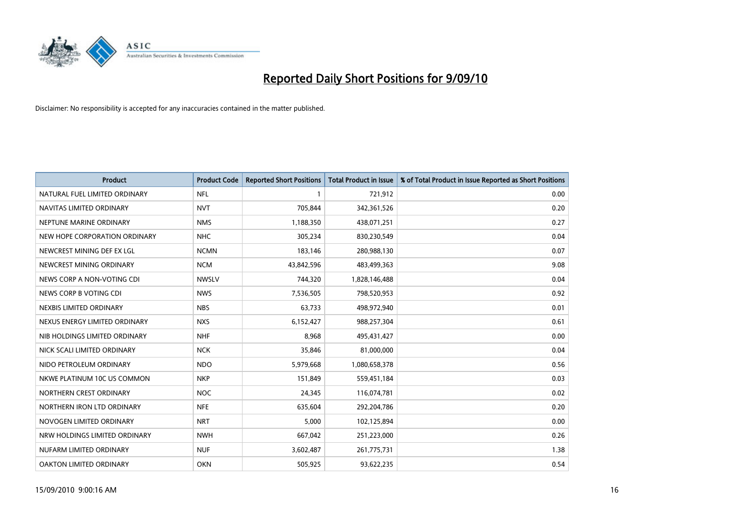

| <b>Product</b>                | <b>Product Code</b> | <b>Reported Short Positions</b> | <b>Total Product in Issue</b> | % of Total Product in Issue Reported as Short Positions |
|-------------------------------|---------------------|---------------------------------|-------------------------------|---------------------------------------------------------|
| NATURAL FUEL LIMITED ORDINARY | <b>NFL</b>          |                                 | 721,912                       | 0.00                                                    |
| NAVITAS LIMITED ORDINARY      | <b>NVT</b>          | 705.844                         | 342,361,526                   | 0.20                                                    |
| NEPTUNE MARINE ORDINARY       | <b>NMS</b>          | 1,188,350                       | 438,071,251                   | 0.27                                                    |
| NEW HOPE CORPORATION ORDINARY | <b>NHC</b>          | 305,234                         | 830,230,549                   | 0.04                                                    |
| NEWCREST MINING DEF EX LGL    | <b>NCMN</b>         | 183,146                         | 280,988,130                   | 0.07                                                    |
| NEWCREST MINING ORDINARY      | <b>NCM</b>          | 43,842,596                      | 483,499,363                   | 9.08                                                    |
| NEWS CORP A NON-VOTING CDI    | <b>NWSLV</b>        | 744,320                         | 1,828,146,488                 | 0.04                                                    |
| NEWS CORP B VOTING CDI        | <b>NWS</b>          | 7,536,505                       | 798,520,953                   | 0.92                                                    |
| NEXBIS LIMITED ORDINARY       | <b>NBS</b>          | 63,733                          | 498,972,940                   | 0.01                                                    |
| NEXUS ENERGY LIMITED ORDINARY | <b>NXS</b>          | 6,152,427                       | 988,257,304                   | 0.61                                                    |
| NIB HOLDINGS LIMITED ORDINARY | <b>NHF</b>          | 8,968                           | 495,431,427                   | 0.00                                                    |
| NICK SCALI LIMITED ORDINARY   | <b>NCK</b>          | 35,846                          | 81,000,000                    | 0.04                                                    |
| NIDO PETROLEUM ORDINARY       | <b>NDO</b>          | 5,979,668                       | 1,080,658,378                 | 0.56                                                    |
| NKWE PLATINUM 10C US COMMON   | <b>NKP</b>          | 151,849                         | 559,451,184                   | 0.03                                                    |
| NORTHERN CREST ORDINARY       | <b>NOC</b>          | 24,345                          | 116,074,781                   | 0.02                                                    |
| NORTHERN IRON LTD ORDINARY    | <b>NFE</b>          | 635,604                         | 292,204,786                   | 0.20                                                    |
| NOVOGEN LIMITED ORDINARY      | <b>NRT</b>          | 5,000                           | 102,125,894                   | 0.00                                                    |
| NRW HOLDINGS LIMITED ORDINARY | <b>NWH</b>          | 667,042                         | 251,223,000                   | 0.26                                                    |
| NUFARM LIMITED ORDINARY       | <b>NUF</b>          | 3,602,487                       | 261,775,731                   | 1.38                                                    |
| OAKTON LIMITED ORDINARY       | <b>OKN</b>          | 505,925                         | 93,622,235                    | 0.54                                                    |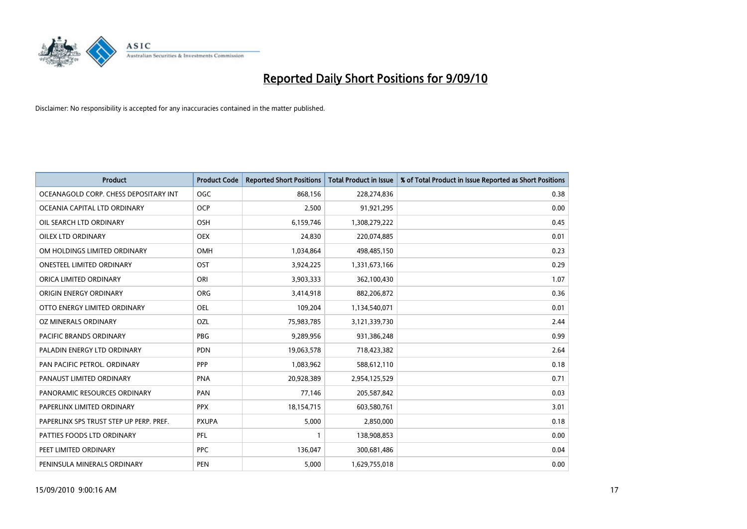

| <b>Product</b>                          | <b>Product Code</b> | <b>Reported Short Positions</b> | <b>Total Product in Issue</b> | % of Total Product in Issue Reported as Short Positions |
|-----------------------------------------|---------------------|---------------------------------|-------------------------------|---------------------------------------------------------|
| OCEANAGOLD CORP. CHESS DEPOSITARY INT   | <b>OGC</b>          | 868,156                         | 228,274,836                   | 0.38                                                    |
| OCEANIA CAPITAL LTD ORDINARY            | <b>OCP</b>          | 2,500                           | 91,921,295                    | 0.00                                                    |
| OIL SEARCH LTD ORDINARY                 | <b>OSH</b>          | 6,159,746                       | 1,308,279,222                 | 0.45                                                    |
| <b>OILEX LTD ORDINARY</b>               | <b>OEX</b>          | 24,830                          | 220,074,885                   | 0.01                                                    |
| OM HOLDINGS LIMITED ORDINARY            | <b>OMH</b>          | 1,034,864                       | 498,485,150                   | 0.23                                                    |
| <b>ONESTEEL LIMITED ORDINARY</b>        | OST                 | 3,924,225                       | 1,331,673,166                 | 0.29                                                    |
| ORICA LIMITED ORDINARY                  | ORI                 | 3,903,333                       | 362,100,430                   | 1.07                                                    |
| ORIGIN ENERGY ORDINARY                  | <b>ORG</b>          | 3,414,918                       | 882,206,872                   | 0.36                                                    |
| OTTO ENERGY LIMITED ORDINARY            | <b>OEL</b>          | 109,204                         | 1,134,540,071                 | 0.01                                                    |
| OZ MINERALS ORDINARY                    | OZL                 | 75,983,785                      | 3,121,339,730                 | 2.44                                                    |
| PACIFIC BRANDS ORDINARY                 | <b>PBG</b>          | 9,289,956                       | 931,386,248                   | 0.99                                                    |
| PALADIN ENERGY LTD ORDINARY             | <b>PDN</b>          | 19,063,578                      | 718,423,382                   | 2.64                                                    |
| PAN PACIFIC PETROL. ORDINARY            | PPP                 | 1,083,962                       | 588,612,110                   | 0.18                                                    |
| PANAUST LIMITED ORDINARY                | <b>PNA</b>          | 20,928,389                      | 2,954,125,529                 | 0.71                                                    |
| PANORAMIC RESOURCES ORDINARY            | PAN                 | 77,146                          | 205,587,842                   | 0.03                                                    |
| PAPERLINX LIMITED ORDINARY              | <b>PPX</b>          | 18,154,715                      | 603,580,761                   | 3.01                                                    |
| PAPERLINX SPS TRUST STEP UP PERP. PREF. | <b>PXUPA</b>        | 5,000                           | 2,850,000                     | 0.18                                                    |
| PATTIES FOODS LTD ORDINARY              | PFL                 |                                 | 138,908,853                   | 0.00                                                    |
| PEET LIMITED ORDINARY                   | <b>PPC</b>          | 136,047                         | 300,681,486                   | 0.04                                                    |
| PENINSULA MINERALS ORDINARY             | <b>PEN</b>          | 5,000                           | 1,629,755,018                 | 0.00                                                    |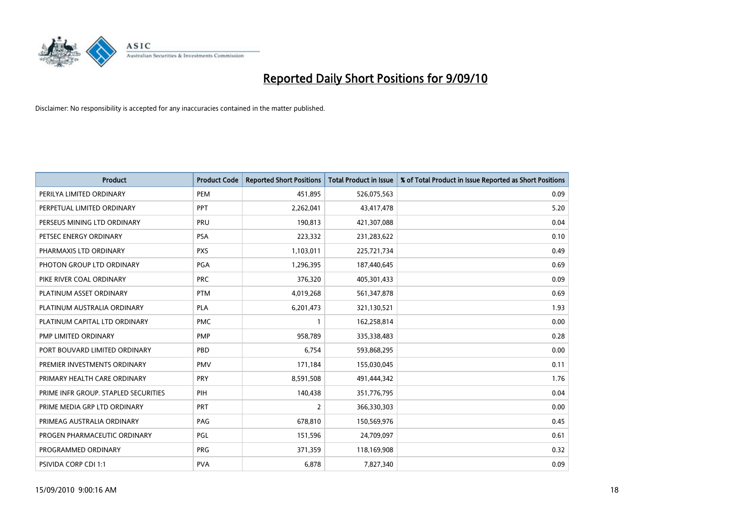

| <b>Product</b>                       | <b>Product Code</b> | <b>Reported Short Positions</b> | <b>Total Product in Issue</b> | % of Total Product in Issue Reported as Short Positions |
|--------------------------------------|---------------------|---------------------------------|-------------------------------|---------------------------------------------------------|
| PERILYA LIMITED ORDINARY             | PEM                 | 451,895                         | 526,075,563                   | 0.09                                                    |
| PERPETUAL LIMITED ORDINARY           | PPT                 | 2,262,041                       | 43,417,478                    | 5.20                                                    |
| PERSEUS MINING LTD ORDINARY          | PRU                 | 190.813                         | 421,307,088                   | 0.04                                                    |
| PETSEC ENERGY ORDINARY               | <b>PSA</b>          | 223,332                         | 231,283,622                   | 0.10                                                    |
| PHARMAXIS LTD ORDINARY               | <b>PXS</b>          | 1,103,011                       | 225,721,734                   | 0.49                                                    |
| PHOTON GROUP LTD ORDINARY            | <b>PGA</b>          | 1,296,395                       | 187,440,645                   | 0.69                                                    |
| PIKE RIVER COAL ORDINARY             | <b>PRC</b>          | 376,320                         | 405,301,433                   | 0.09                                                    |
| PLATINUM ASSET ORDINARY              | <b>PTM</b>          | 4,019,268                       | 561,347,878                   | 0.69                                                    |
| PLATINUM AUSTRALIA ORDINARY          | <b>PLA</b>          | 6,201,473                       | 321,130,521                   | 1.93                                                    |
| PLATINUM CAPITAL LTD ORDINARY        | <b>PMC</b>          |                                 | 162,258,814                   | 0.00                                                    |
| PMP LIMITED ORDINARY                 | <b>PMP</b>          | 958,789                         | 335,338,483                   | 0.28                                                    |
| PORT BOUVARD LIMITED ORDINARY        | PBD                 | 6.754                           | 593,868,295                   | 0.00                                                    |
| PREMIER INVESTMENTS ORDINARY         | <b>PMV</b>          | 171,184                         | 155,030,045                   | 0.11                                                    |
| PRIMARY HEALTH CARE ORDINARY         | <b>PRY</b>          | 8,591,508                       | 491,444,342                   | 1.76                                                    |
| PRIME INFR GROUP. STAPLED SECURITIES | PIH                 | 140,438                         | 351,776,795                   | 0.04                                                    |
| PRIME MEDIA GRP LTD ORDINARY         | <b>PRT</b>          | 2                               | 366,330,303                   | 0.00                                                    |
| PRIMEAG AUSTRALIA ORDINARY           | PAG                 | 678,810                         | 150,569,976                   | 0.45                                                    |
| PROGEN PHARMACEUTIC ORDINARY         | <b>PGL</b>          | 151,596                         | 24,709,097                    | 0.61                                                    |
| PROGRAMMED ORDINARY                  | <b>PRG</b>          | 371,359                         | 118,169,908                   | 0.32                                                    |
| PSIVIDA CORP CDI 1:1                 | <b>PVA</b>          | 6,878                           | 7,827,340                     | 0.09                                                    |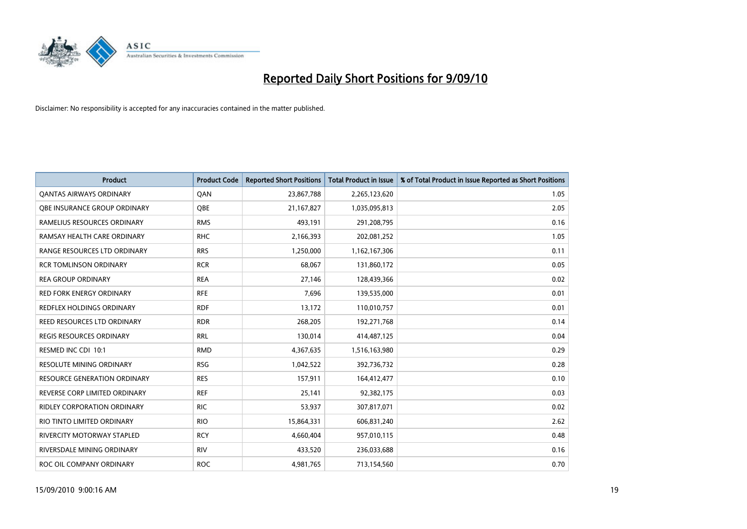

| <b>Product</b>                      | <b>Product Code</b> | <b>Reported Short Positions</b> | <b>Total Product in Issue</b> | % of Total Product in Issue Reported as Short Positions |
|-------------------------------------|---------------------|---------------------------------|-------------------------------|---------------------------------------------------------|
| <b>QANTAS AIRWAYS ORDINARY</b>      | QAN                 | 23,867,788                      | 2,265,123,620                 | 1.05                                                    |
| <b>OBE INSURANCE GROUP ORDINARY</b> | OBE                 | 21, 167, 827                    | 1,035,095,813                 | 2.05                                                    |
| RAMELIUS RESOURCES ORDINARY         | <b>RMS</b>          | 493,191                         | 291,208,795                   | 0.16                                                    |
| RAMSAY HEALTH CARE ORDINARY         | <b>RHC</b>          | 2,166,393                       | 202,081,252                   | 1.05                                                    |
| RANGE RESOURCES LTD ORDINARY        | <b>RRS</b>          | 1,250,000                       | 1,162,167,306                 | 0.11                                                    |
| <b>RCR TOMLINSON ORDINARY</b>       | <b>RCR</b>          | 68,067                          | 131,860,172                   | 0.05                                                    |
| <b>REA GROUP ORDINARY</b>           | <b>REA</b>          | 27,146                          | 128,439,366                   | 0.02                                                    |
| <b>RED FORK ENERGY ORDINARY</b>     | <b>RFE</b>          | 7,696                           | 139,535,000                   | 0.01                                                    |
| REDFLEX HOLDINGS ORDINARY           | <b>RDF</b>          | 13,172                          | 110,010,757                   | 0.01                                                    |
| <b>REED RESOURCES LTD ORDINARY</b>  | <b>RDR</b>          | 268,205                         | 192,271,768                   | 0.14                                                    |
| <b>REGIS RESOURCES ORDINARY</b>     | <b>RRL</b>          | 130,014                         | 414,487,125                   | 0.04                                                    |
| RESMED INC CDI 10:1                 | <b>RMD</b>          | 4,367,635                       | 1,516,163,980                 | 0.29                                                    |
| <b>RESOLUTE MINING ORDINARY</b>     | <b>RSG</b>          | 1,042,522                       | 392,736,732                   | 0.28                                                    |
| <b>RESOURCE GENERATION ORDINARY</b> | <b>RES</b>          | 157,911                         | 164,412,477                   | 0.10                                                    |
| REVERSE CORP LIMITED ORDINARY       | <b>REF</b>          | 25,141                          | 92,382,175                    | 0.03                                                    |
| <b>RIDLEY CORPORATION ORDINARY</b>  | <b>RIC</b>          | 53,937                          | 307,817,071                   | 0.02                                                    |
| RIO TINTO LIMITED ORDINARY          | <b>RIO</b>          | 15,864,331                      | 606,831,240                   | 2.62                                                    |
| RIVERCITY MOTORWAY STAPLED          | <b>RCY</b>          | 4,660,404                       | 957,010,115                   | 0.48                                                    |
| RIVERSDALE MINING ORDINARY          | <b>RIV</b>          | 433,520                         | 236,033,688                   | 0.16                                                    |
| ROC OIL COMPANY ORDINARY            | <b>ROC</b>          | 4,981,765                       | 713,154,560                   | 0.70                                                    |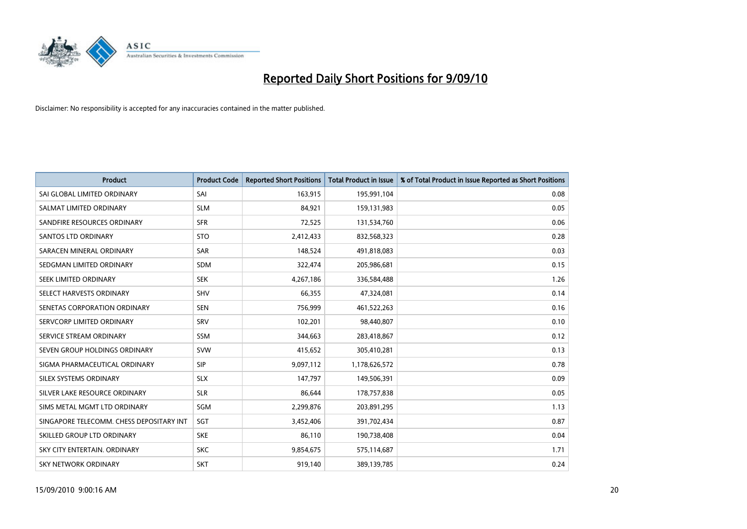

| <b>Product</b>                           | <b>Product Code</b> | <b>Reported Short Positions</b> | <b>Total Product in Issue</b> | % of Total Product in Issue Reported as Short Positions |
|------------------------------------------|---------------------|---------------------------------|-------------------------------|---------------------------------------------------------|
| SAI GLOBAL LIMITED ORDINARY              | SAI                 | 163,915                         | 195,991,104                   | 0.08                                                    |
| SALMAT LIMITED ORDINARY                  | <b>SLM</b>          | 84,921                          | 159,131,983                   | 0.05                                                    |
| SANDFIRE RESOURCES ORDINARY              | <b>SFR</b>          | 72,525                          | 131,534,760                   | 0.06                                                    |
| <b>SANTOS LTD ORDINARY</b>               | <b>STO</b>          | 2,412,433                       | 832,568,323                   | 0.28                                                    |
| SARACEN MINERAL ORDINARY                 | <b>SAR</b>          | 148,524                         | 491,818,083                   | 0.03                                                    |
| SEDGMAN LIMITED ORDINARY                 | <b>SDM</b>          | 322,474                         | 205,986,681                   | 0.15                                                    |
| SEEK LIMITED ORDINARY                    | <b>SEK</b>          | 4,267,186                       | 336,584,488                   | 1.26                                                    |
| SELECT HARVESTS ORDINARY                 | SHV                 | 66,355                          | 47,324,081                    | 0.14                                                    |
| SENETAS CORPORATION ORDINARY             | <b>SEN</b>          | 756,999                         | 461,522,263                   | 0.16                                                    |
| SERVCORP LIMITED ORDINARY                | SRV                 | 102,201                         | 98,440,807                    | 0.10                                                    |
| SERVICE STREAM ORDINARY                  | <b>SSM</b>          | 344,663                         | 283,418,867                   | 0.12                                                    |
| SEVEN GROUP HOLDINGS ORDINARY            | <b>SVW</b>          | 415,652                         | 305,410,281                   | 0.13                                                    |
| SIGMA PHARMACEUTICAL ORDINARY            | SIP                 | 9,097,112                       | 1,178,626,572                 | 0.78                                                    |
| SILEX SYSTEMS ORDINARY                   | <b>SLX</b>          | 147.797                         | 149,506,391                   | 0.09                                                    |
| SILVER LAKE RESOURCE ORDINARY            | <b>SLR</b>          | 86,644                          | 178,757,838                   | 0.05                                                    |
| SIMS METAL MGMT LTD ORDINARY             | SGM                 | 2,299,876                       | 203,891,295                   | 1.13                                                    |
| SINGAPORE TELECOMM. CHESS DEPOSITARY INT | SGT                 | 3,452,406                       | 391,702,434                   | 0.87                                                    |
| SKILLED GROUP LTD ORDINARY               | <b>SKE</b>          | 86,110                          | 190,738,408                   | 0.04                                                    |
| SKY CITY ENTERTAIN, ORDINARY             | <b>SKC</b>          | 9,854,675                       | 575,114,687                   | 1.71                                                    |
| SKY NETWORK ORDINARY                     | <b>SKT</b>          | 919,140                         | 389,139,785                   | 0.24                                                    |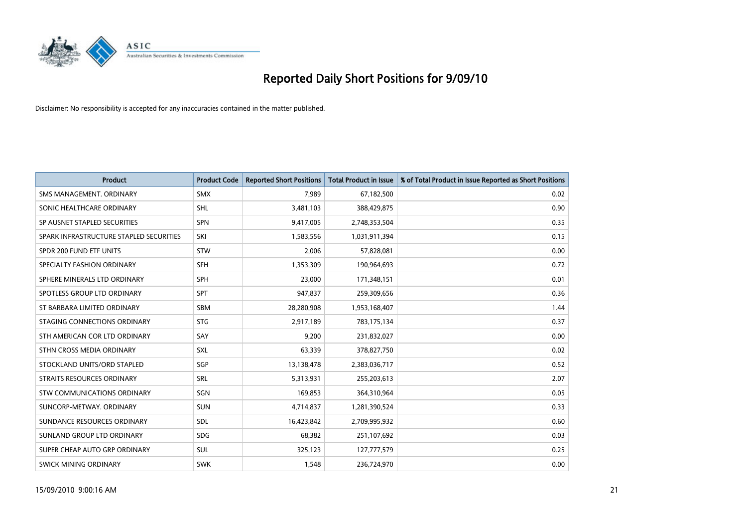

| <b>Product</b>                          | <b>Product Code</b> | <b>Reported Short Positions</b> | <b>Total Product in Issue</b> | % of Total Product in Issue Reported as Short Positions |
|-----------------------------------------|---------------------|---------------------------------|-------------------------------|---------------------------------------------------------|
| SMS MANAGEMENT, ORDINARY                | <b>SMX</b>          | 7,989                           | 67,182,500                    | 0.02                                                    |
| SONIC HEALTHCARE ORDINARY               | <b>SHL</b>          | 3,481,103                       | 388,429,875                   | 0.90                                                    |
| SP AUSNET STAPLED SECURITIES            | SPN                 | 9,417,005                       | 2,748,353,504                 | 0.35                                                    |
| SPARK INFRASTRUCTURE STAPLED SECURITIES | SKI                 | 1,583,556                       | 1,031,911,394                 | 0.15                                                    |
| SPDR 200 FUND ETF UNITS                 | STW                 | 2,006                           | 57,828,081                    | 0.00                                                    |
| SPECIALTY FASHION ORDINARY              | <b>SFH</b>          | 1,353,309                       | 190,964,693                   | 0.72                                                    |
| SPHERE MINERALS LTD ORDINARY            | <b>SPH</b>          | 23.000                          | 171,348,151                   | 0.01                                                    |
| SPOTLESS GROUP LTD ORDINARY             | SPT                 | 947,837                         | 259,309,656                   | 0.36                                                    |
| ST BARBARA LIMITED ORDINARY             | <b>SBM</b>          | 28,280,908                      | 1,953,168,407                 | 1.44                                                    |
| STAGING CONNECTIONS ORDINARY            | <b>STG</b>          | 2,917,189                       | 783,175,134                   | 0.37                                                    |
| STH AMERICAN COR LTD ORDINARY           | SAY                 | 9,200                           | 231,832,027                   | 0.00                                                    |
| STHN CROSS MEDIA ORDINARY               | SXL                 | 63,339                          | 378,827,750                   | 0.02                                                    |
| STOCKLAND UNITS/ORD STAPLED             | SGP                 | 13,138,478                      | 2,383,036,717                 | 0.52                                                    |
| STRAITS RESOURCES ORDINARY              | SRL                 | 5,313,931                       | 255,203,613                   | 2.07                                                    |
| STW COMMUNICATIONS ORDINARY             | SGN                 | 169,853                         | 364,310,964                   | 0.05                                                    |
| SUNCORP-METWAY, ORDINARY                | <b>SUN</b>          | 4,714,837                       | 1,281,390,524                 | 0.33                                                    |
| SUNDANCE RESOURCES ORDINARY             | <b>SDL</b>          | 16,423,842                      | 2,709,995,932                 | 0.60                                                    |
| SUNLAND GROUP LTD ORDINARY              | <b>SDG</b>          | 68,382                          | 251,107,692                   | 0.03                                                    |
| SUPER CHEAP AUTO GRP ORDINARY           | <b>SUL</b>          | 325,123                         | 127,777,579                   | 0.25                                                    |
| SWICK MINING ORDINARY                   | <b>SWK</b>          | 1,548                           | 236,724,970                   | 0.00                                                    |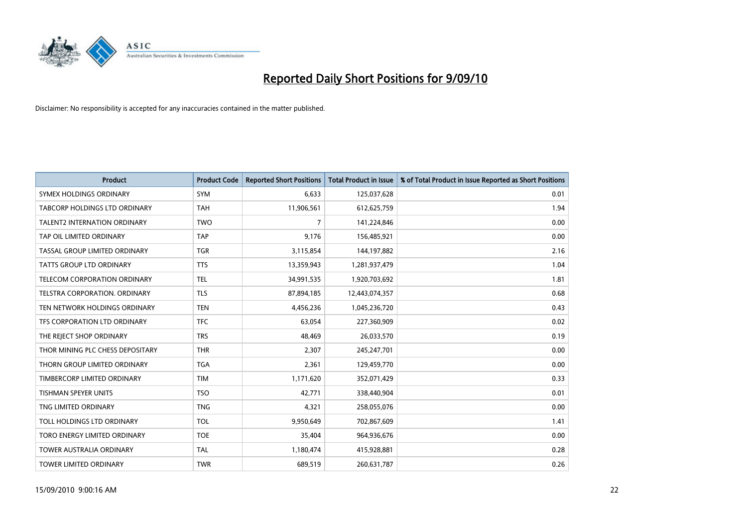

| <b>Product</b>                       | <b>Product Code</b> | <b>Reported Short Positions</b> | Total Product in Issue | % of Total Product in Issue Reported as Short Positions |
|--------------------------------------|---------------------|---------------------------------|------------------------|---------------------------------------------------------|
| SYMEX HOLDINGS ORDINARY              | SYM                 | 6,633                           | 125,037,628            | 0.01                                                    |
| TABCORP HOLDINGS LTD ORDINARY        | <b>TAH</b>          | 11,906,561                      | 612,625,759            | 1.94                                                    |
| <b>TALENT2 INTERNATION ORDINARY</b>  | <b>TWO</b>          | 7                               | 141,224,846            | 0.00                                                    |
| TAP OIL LIMITED ORDINARY             | <b>TAP</b>          | 9,176                           | 156,485,921            | 0.00                                                    |
| TASSAL GROUP LIMITED ORDINARY        | <b>TGR</b>          | 3,115,854                       | 144, 197, 882          | 2.16                                                    |
| TATTS GROUP LTD ORDINARY             | <b>TTS</b>          | 13,359,943                      | 1,281,937,479          | 1.04                                                    |
| TELECOM CORPORATION ORDINARY         | <b>TEL</b>          | 34,991,535                      | 1,920,703,692          | 1.81                                                    |
| <b>TELSTRA CORPORATION, ORDINARY</b> | <b>TLS</b>          | 87,894,185                      | 12,443,074,357         | 0.68                                                    |
| TEN NETWORK HOLDINGS ORDINARY        | <b>TEN</b>          | 4,456,236                       | 1,045,236,720          | 0.43                                                    |
| TFS CORPORATION LTD ORDINARY         | <b>TFC</b>          | 63,054                          | 227,360,909            | 0.02                                                    |
| THE REJECT SHOP ORDINARY             | <b>TRS</b>          | 48,469                          | 26,033,570             | 0.19                                                    |
| THOR MINING PLC CHESS DEPOSITARY     | <b>THR</b>          | 2,307                           | 245,247,701            | 0.00                                                    |
| THORN GROUP LIMITED ORDINARY         | <b>TGA</b>          | 2,361                           | 129,459,770            | 0.00                                                    |
| TIMBERCORP LIMITED ORDINARY          | <b>TIM</b>          | 1,171,620                       | 352,071,429            | 0.33                                                    |
| TISHMAN SPEYER UNITS                 | <b>TSO</b>          | 42,771                          | 338,440,904            | 0.01                                                    |
| TNG LIMITED ORDINARY                 | <b>TNG</b>          | 4,321                           | 258,055,076            | 0.00                                                    |
| TOLL HOLDINGS LTD ORDINARY           | <b>TOL</b>          | 9,950,649                       | 702,867,609            | 1.41                                                    |
| TORO ENERGY LIMITED ORDINARY         | <b>TOE</b>          | 35,404                          | 964,936,676            | 0.00                                                    |
| <b>TOWER AUSTRALIA ORDINARY</b>      | <b>TAL</b>          | 1,180,474                       | 415,928,881            | 0.28                                                    |
| <b>TOWER LIMITED ORDINARY</b>        | <b>TWR</b>          | 689.519                         | 260,631,787            | 0.26                                                    |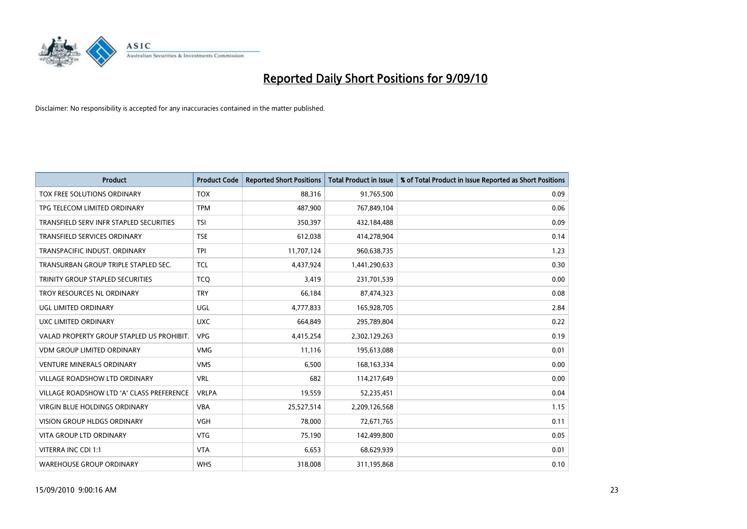

| <b>Product</b>                            | <b>Product Code</b> | <b>Reported Short Positions</b> | Total Product in Issue | % of Total Product in Issue Reported as Short Positions |
|-------------------------------------------|---------------------|---------------------------------|------------------------|---------------------------------------------------------|
| TOX FREE SOLUTIONS ORDINARY               | <b>TOX</b>          | 88,316                          | 91,765,500             | 0.09                                                    |
| TPG TELECOM LIMITED ORDINARY              | <b>TPM</b>          | 487,900                         | 767,849,104            | 0.06                                                    |
| TRANSFIELD SERV INFR STAPLED SECURITIES   | <b>TSI</b>          | 350,397                         | 432,184,488            | 0.09                                                    |
| TRANSFIELD SERVICES ORDINARY              | <b>TSE</b>          | 612,038                         | 414,278,904            | 0.14                                                    |
| TRANSPACIFIC INDUST, ORDINARY             | <b>TPI</b>          | 11,707,124                      | 960,638,735            | 1.23                                                    |
| TRANSURBAN GROUP TRIPLE STAPLED SEC.      | <b>TCL</b>          | 4,437,924                       | 1,441,290,633          | 0.30                                                    |
| TRINITY GROUP STAPLED SECURITIES          | <b>TCO</b>          | 3,419                           | 231,701,539            | 0.00                                                    |
| TROY RESOURCES NL ORDINARY                | <b>TRY</b>          | 66,184                          | 87,474,323             | 0.08                                                    |
| UGL LIMITED ORDINARY                      | UGL                 | 4,777,833                       | 165,928,705            | 2.84                                                    |
| UXC LIMITED ORDINARY                      | <b>UXC</b>          | 664,849                         | 295,789,804            | 0.22                                                    |
| VALAD PROPERTY GROUP STAPLED US PROHIBIT. | <b>VPG</b>          | 4,415,254                       | 2,302,129,263          | 0.19                                                    |
| <b>VDM GROUP LIMITED ORDINARY</b>         | <b>VMG</b>          | 11,116                          | 195,613,088            | 0.01                                                    |
| <b>VENTURE MINERALS ORDINARY</b>          | <b>VMS</b>          | 6,500                           | 168, 163, 334          | 0.00                                                    |
| <b>VILLAGE ROADSHOW LTD ORDINARY</b>      | <b>VRL</b>          | 682                             | 114,217,649            | 0.00                                                    |
| VILLAGE ROADSHOW LTD 'A' CLASS PREFERENCE | <b>VRLPA</b>        | 19,559                          | 52,235,451             | 0.04                                                    |
| VIRGIN BLUE HOLDINGS ORDINARY             | <b>VBA</b>          | 25,527,514                      | 2,209,126,568          | 1.15                                                    |
| VISION GROUP HLDGS ORDINARY               | <b>VGH</b>          | 78,000                          | 72,671,765             | 0.11                                                    |
| <b>VITA GROUP LTD ORDINARY</b>            | <b>VTG</b>          | 75,190                          | 142,499,800            | 0.05                                                    |
| VITERRA INC CDI 1:1                       | <b>VTA</b>          | 6,653                           | 68,629,939             | 0.01                                                    |
| <b>WAREHOUSE GROUP ORDINARY</b>           | <b>WHS</b>          | 318,008                         | 311,195,868            | 0.10                                                    |